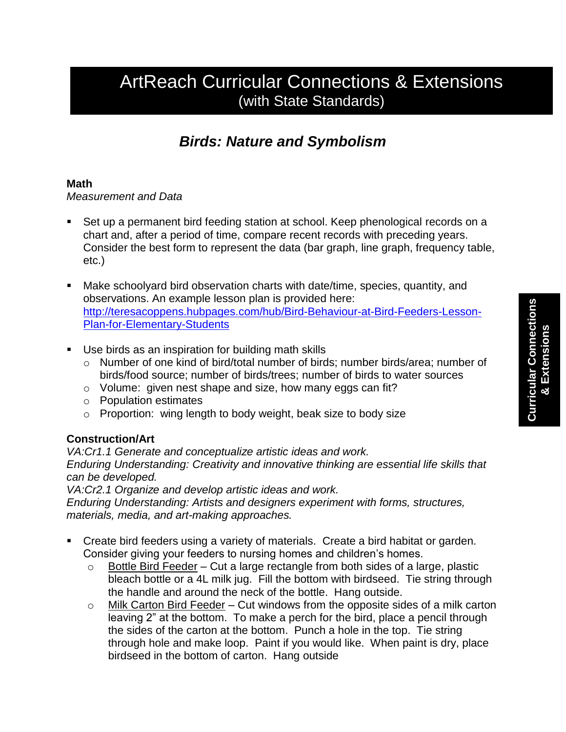# ArtReach Curricular Connections & Extensions (with State Standards)

## *Birds: Nature and Symbolism*

### **Math**

*Measurement and Data*

- Set up a permanent bird feeding station at school. Keep phenological records on a chart and, after a period of time, compare recent records with preceding years. Consider the best form to represent the data (bar graph, line graph, frequency table, etc.)
- Make schoolyard bird observation charts with date/time, species, quantity, and observations. An example lesson plan is provided here: [http://teresacoppens.hubpages.com/hub/Bird-Behaviour-at-Bird-Feeders-Lesson-](http://teresacoppens.hubpages.com/hub/Bird-Behaviour-at-Bird-Feeders-Lesson-Plan-for-Elementary-Students)[Plan-for-Elementary-Students](http://teresacoppens.hubpages.com/hub/Bird-Behaviour-at-Bird-Feeders-Lesson-Plan-for-Elementary-Students)
- Use birds as an inspiration for building math skills
	- o Number of one kind of bird/total number of birds; number birds/area; number of birds/food source; number of birds/trees; number of birds to water sources
	- o Volume: given nest shape and size, how many eggs can fit?
	- o Population estimates
	- o Proportion: wing length to body weight, beak size to body size

## **Construction/Art**

*VA:Cr1.1 Generate and conceptualize artistic ideas and work. Enduring Understanding: Creativity and innovative thinking are essential life skills that can be developed.*

*VA:Cr2.1 Organize and develop artistic ideas and work.*

*Enduring Understanding: Artists and designers experiment with forms, structures, materials, media, and art-making approaches.*

- Create bird feeders using a variety of materials. Create a bird habitat or garden. Consider giving your feeders to nursing homes and children's homes.
	- $\circ$  Bottle Bird Feeder Cut a large rectangle from both sides of a large, plastic bleach bottle or a 4L milk jug. Fill the bottom with birdseed. Tie string through the handle and around the neck of the bottle. Hang outside.
	- $\circ$  Milk Carton Bird Feeder Cut windows from the opposite sides of a milk carton leaving 2" at the bottom. To make a perch for the bird, place a pencil through the sides of the carton at the bottom. Punch a hole in the top. Tie string through hole and make loop. Paint if you would like. When paint is dry, place birdseed in the bottom of carton. Hang outside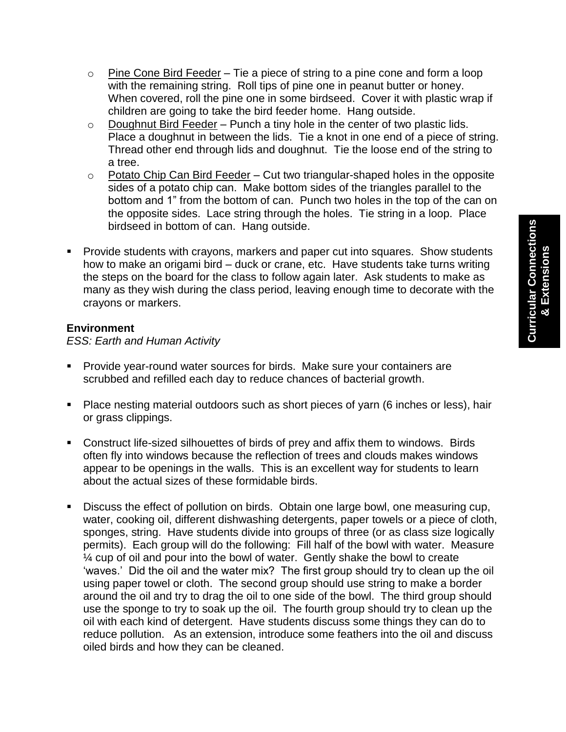- $\circ$  Pine Cone Bird Feeder Tie a piece of string to a pine cone and form a loop with the remaining string. Roll tips of pine one in peanut butter or honey. When covered, roll the pine one in some birdseed. Cover it with plastic wrap if children are going to take the bird feeder home. Hang outside.
- $\circ$  Doughnut Bird Feeder Punch a tiny hole in the center of two plastic lids. Place a doughnut in between the lids. Tie a knot in one end of a piece of string. Thread other end through lids and doughnut. Tie the loose end of the string to a tree.
- o Potato Chip Can Bird Feeder Cut two triangular-shaped holes in the opposite sides of a potato chip can. Make bottom sides of the triangles parallel to the bottom and 1" from the bottom of can. Punch two holes in the top of the can on the opposite sides. Lace string through the holes. Tie string in a loop. Place birdseed in bottom of can. Hang outside.
- **Provide students with crayons, markers and paper cut into squares. Show students** how to make an origami bird – duck or crane, etc. Have students take turns writing the steps on the board for the class to follow again later. Ask students to make as many as they wish during the class period, leaving enough time to decorate with the crayons or markers.

#### **Environment**

*ESS: Earth and Human Activity*

- **Provide year-round water sources for birds. Make sure your containers are** scrubbed and refilled each day to reduce chances of bacterial growth.
- **Place nesting material outdoors such as short pieces of yarn (6 inches or less), hair** or grass clippings.
- Construct life-sized silhouettes of birds of prey and affix them to windows. Birds often fly into windows because the reflection of trees and clouds makes windows appear to be openings in the walls. This is an excellent way for students to learn about the actual sizes of these formidable birds.
- Discuss the effect of pollution on birds. Obtain one large bowl, one measuring cup, water, cooking oil, different dishwashing detergents, paper towels or a piece of cloth, sponges, string. Have students divide into groups of three (or as class size logically permits). Each group will do the following: Fill half of the bowl with water. Measure ¼ cup of oil and pour into the bowl of water. Gently shake the bowl to create 'waves.' Did the oil and the water mix? The first group should try to clean up the oil using paper towel or cloth. The second group should use string to make a border around the oil and try to drag the oil to one side of the bowl. The third group should use the sponge to try to soak up the oil. The fourth group should try to clean up the oil with each kind of detergent. Have students discuss some things they can do to reduce pollution. As an extension, introduce some feathers into the oil and discuss oiled birds and how they can be cleaned.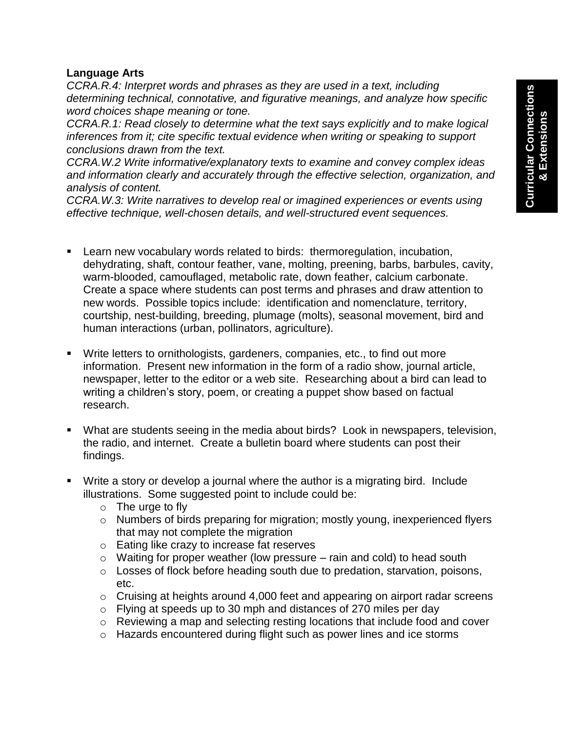### **Language Arts**

*CCRA.R.4: Interpret words and phrases as they are used in a text, including determining technical, connotative, and figurative meanings, and analyze how specific word choices shape meaning or tone.*

*CCRA.R.1: Read closely to determine what the text says explicitly and to make logical inferences from it; cite specific textual evidence when writing or speaking to support conclusions drawn from the text.*

*CCRA.W.2 Write informative/explanatory texts to examine and convey complex ideas and information clearly and accurately through the effective selection, organization, and analysis of content.*

*CCRA.W.3: Write narratives to develop real or imagined experiences or events using effective technique, well-chosen details, and well-structured event sequences.*

- Learn new vocabulary words related to birds: thermoregulation, incubation, dehydrating, shaft, contour feather, vane, molting, preening, barbs, barbules, cavity, warm-blooded, camouflaged, metabolic rate, down feather, calcium carbonate. Create a space where students can post terms and phrases and draw attention to new words. Possible topics include: identification and nomenclature, territory, courtship, nest-building, breeding, plumage (molts), seasonal movement, bird and human interactions (urban, pollinators, agriculture).
- Write letters to ornithologists, gardeners, companies, etc., to find out more information. Present new information in the form of a radio show, journal article, newspaper, letter to the editor or a web site. Researching about a bird can lead to writing a children's story, poem, or creating a puppet show based on factual research.
- What are students seeing in the media about birds? Look in newspapers, television, the radio, and internet. Create a bulletin board where students can post their findings.
- Write a story or develop a journal where the author is a migrating bird. Include illustrations. Some suggested point to include could be:
	- o The urge to fly
	- o Numbers of birds preparing for migration; mostly young, inexperienced flyers that may not complete the migration
	- o Eating like crazy to increase fat reserves
	- $\circ$  Waiting for proper weather (low pressure rain and cold) to head south
	- o Losses of flock before heading south due to predation, starvation, poisons, etc.
	- $\circ$  Cruising at heights around 4,000 feet and appearing on airport radar screens
	- $\circ$  Flying at speeds up to 30 mph and distances of 270 miles per day
	- o Reviewing a map and selecting resting locations that include food and cover
	- o Hazards encountered during flight such as power lines and ice storms